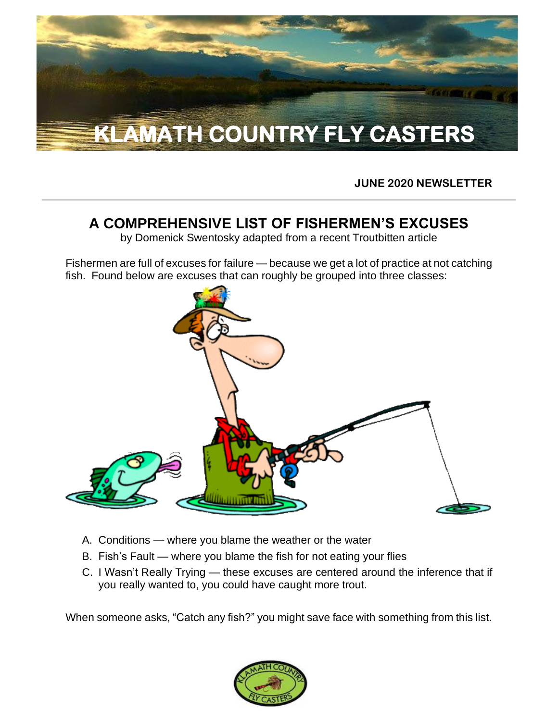

**JUNE 2020 NEWSLETTER**

## **A COMPREHENSIVE LIST OF FISHERMEN'S EXCUSES**

by Domenick Swentosky adapted from a recent Troutbitten article

Fishermen are full of excuses for failure — because we get a lot of practice at not catching fish. Found below are excuses that can roughly be grouped into three classes:



- A. Conditions where you blame the weather or the water
- B. Fish's Fault where you blame the fish for not eating your flies
- C. I Wasn't Really Trying these excuses are centered around the inference that if you really wanted to, you could have caught more trout.

When someone asks, "Catch any fish?" you might save face with something from this list.

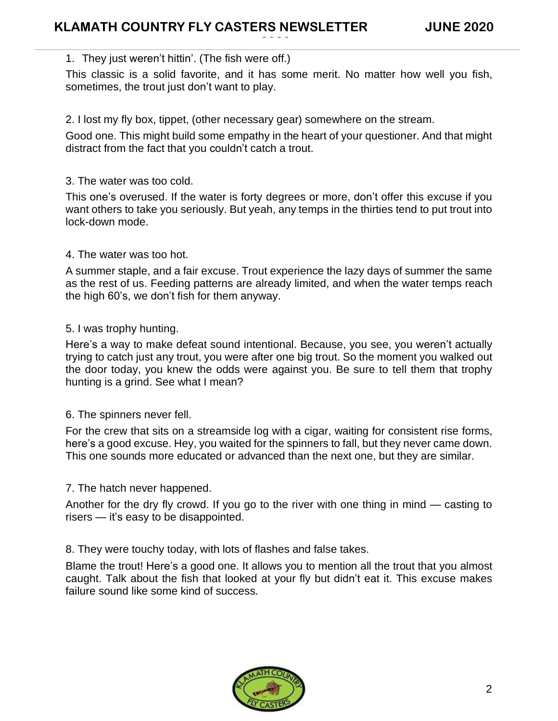#### 1. They just weren't hittin'. (The fish were off.)

This classic is a solid favorite, and it has some merit. No matter how well you fish, sometimes, the trout just don't want to play.

**2020**

#### 2. I lost my fly box, tippet, (other necessary gear) somewhere on the stream.

Good one. This might build some empathy in the heart of your questioner. And that might distract from the fact that you couldn't catch a trout.

#### 3. The water was too cold.

This one's overused. If the water is forty degrees or more, don't offer this excuse if you want others to take you seriously. But yeah, any temps in the thirties tend to put trout into lock-down mode.

#### 4. The water was too hot.

A summer staple, and a fair excuse. Trout experience the lazy days of summer the same as the rest of us. Feeding patterns are already limited, and when the water temps reach the high 60's, we don't fish for them anyway.

#### 5. I was trophy hunting.

Here's a way to make defeat sound intentional. Because, you see, you weren't actually trying to catch just any trout, you were after one big trout. So the moment you walked out the door today, you knew the odds were against you. Be sure to tell them that trophy hunting is a grind. See what I mean?

#### 6. The spinners never fell.

For the crew that sits on a streamside log with a cigar, waiting for consistent rise forms, here's a good excuse. Hey, you waited for the spinners to fall, but they never came down. This one sounds more educated or advanced than the next one, but they are similar.

7. The hatch never happened.

Another for the dry fly crowd. If you go to the river with one thing in mind — casting to risers — it's easy to be disappointed.

8. They were touchy today, with lots of flashes and false takes.

Blame the trout! Here's a good one. It allows you to mention all the trout that you almost caught. Talk about the fish that looked at your fly but didn't eat it. This excuse makes failure sound like some kind of success.

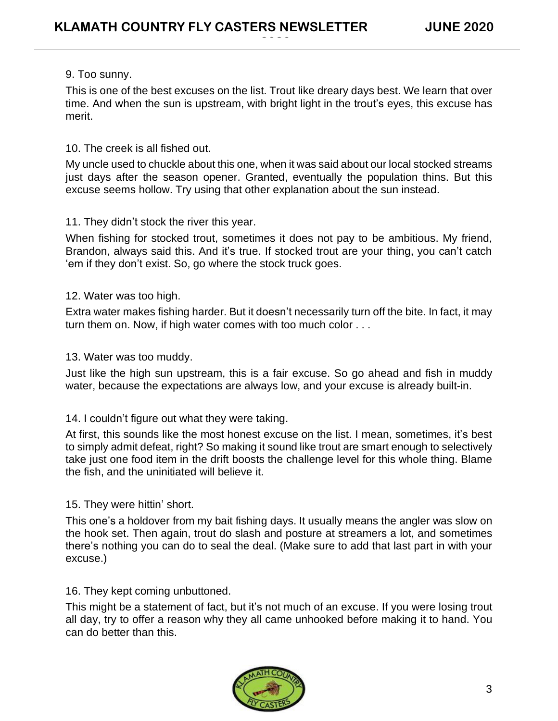#### 9. Too sunny.

This is one of the best excuses on the list. Trout like dreary days best. We learn that over time. And when the sun is upstream, with bright light in the trout's eyes, this excuse has merit.

**2020**

#### 10. The creek is all fished out.

My uncle used to chuckle about this one, when it was said about our local stocked streams just days after the season opener. Granted, eventually the population thins. But this excuse seems hollow. Try using that other explanation about the sun instead.

#### 11. They didn't stock the river this year.

When fishing for stocked trout, sometimes it does not pay to be ambitious. My friend, Brandon, always said this. And it's true. If stocked trout are your thing, you can't catch 'em if they don't exist. So, go where the stock truck goes.

#### 12. Water was too high.

Extra water makes fishing harder. But it doesn't necessarily turn off the bite. In fact, it may turn them on. Now, if high water comes with too much color . . .

#### 13. Water was too muddy.

Just like the high sun upstream, this is a fair excuse. So go ahead and fish in muddy water, because the expectations are always low, and your excuse is already built-in.

#### 14. I couldn't figure out what they were taking.

At first, this sounds like the most honest excuse on the list. I mean, sometimes, it's best to simply admit defeat, right? So making it sound like trout are smart enough to selectively take just one food item in the drift boosts the challenge level for this whole thing. Blame the fish, and the uninitiated will believe it.

#### 15. They were hittin' short.

This one's a holdover from my bait fishing days. It usually means the angler was slow on the hook set. Then again, trout do slash and posture at streamers a lot, and sometimes there's nothing you can do to seal the deal. (Make sure to add that last part in with your excuse.)

#### 16. They kept coming unbuttoned.

This might be a statement of fact, but it's not much of an excuse. If you were losing trout all day, try to offer a reason why they all came unhooked before making it to hand. You can do better than this.

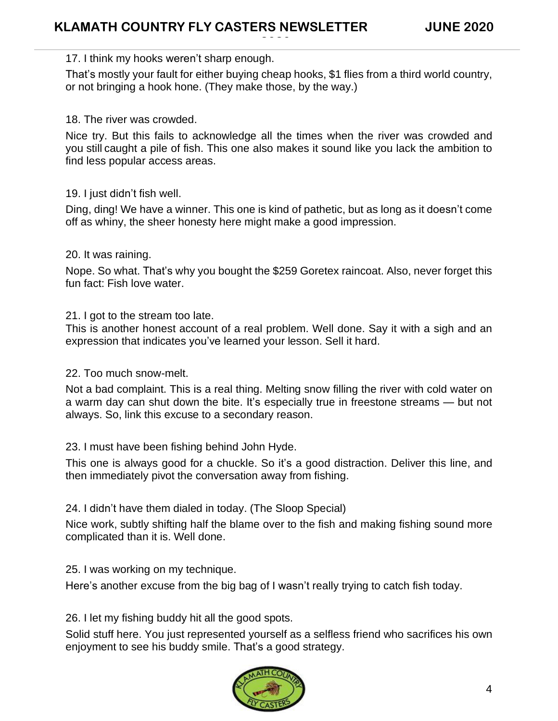#### 17. I think my hooks weren't sharp enough.

That's mostly your fault for either buying cheap hooks, \$1 flies from a third world country, or not bringing a hook hone. (They make those, by the way.)

**2020**

#### 18. The river was crowded.

Nice try. But this fails to acknowledge all the times when the river was crowded and you still caught a pile of fish. This one also makes it sound like you lack the ambition to find less popular access areas.

#### 19. I just didn't fish well.

Ding, ding! We have a winner. This one is kind of pathetic, but as long as it doesn't come off as whiny, the sheer honesty here might make a good impression.

#### 20. It was raining.

Nope. So what. That's why you bought the \$259 Goretex raincoat. Also, never forget this fun fact: Fish love water.

21. I got to the stream too late.

This is another honest account of a real problem. Well done. Say it with a sigh and an expression that indicates you've learned your lesson. Sell it hard.

#### 22. Too much snow-melt.

Not a bad complaint. This is a real thing. Melting snow filling the river with cold water on a warm day can shut down the bite. It's especially true in freestone streams — but not always. So, link this excuse to a secondary reason.

#### 23. I must have been fishing behind John Hyde.

This one is always good for a chuckle. So it's a good distraction. Deliver this line, and then immediately pivot the conversation away from fishing.

#### 24. I didn't have them dialed in today. (The Sloop Special)

Nice work, subtly shifting half the blame over to the fish and making fishing sound more complicated than it is. Well done.

25. I was working on my technique.

Here's another excuse from the big bag of I wasn't really trying to catch fish today.

26. I let my fishing buddy hit all the good spots.

Solid stuff here. You just represented yourself as a selfless friend who sacrifices his own enjoyment to see his buddy smile. That's a good strategy.

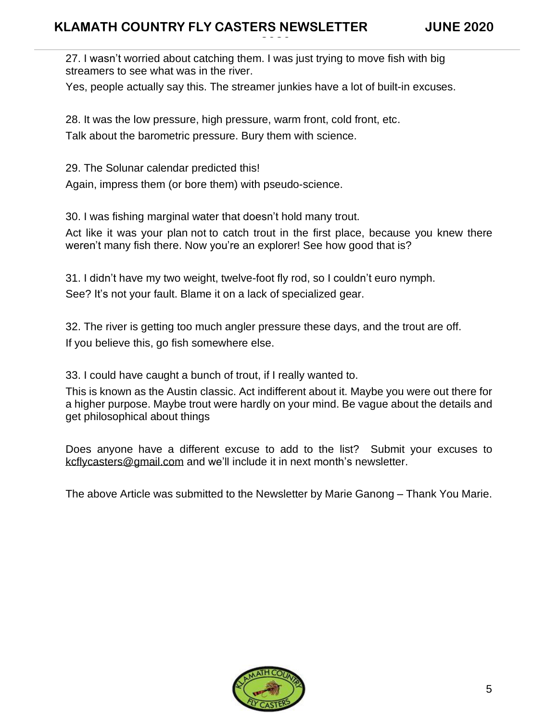27. I wasn't worried about catching them. I was just trying to move fish with big streamers to see what was in the river.

Yes, people actually say this. The streamer junkies have a lot of built-in excuses.

**2020**

28. It was the low pressure, high pressure, warm front, cold front, etc. Talk about the barometric pressure. Bury them with science.

29. The Solunar calendar predicted this!

Again, impress them (or bore them) with pseudo-science.

30. I was fishing marginal water that doesn't hold many trout.

Act like it was your plan not to catch trout in the first place, because you knew there weren't many fish there. Now you're an explorer! See how good that is?

31. I didn't have my two weight, twelve-foot fly rod, so I couldn't euro nymph. See? It's not your fault. Blame it on a lack of specialized gear.

32. The river is getting too much angler pressure these days, and the trout are off. If you believe this, go fish somewhere else.

33. I could have caught a bunch of trout, if I really wanted to.

This is known as the Austin classic. Act indifferent about it. Maybe you were out there for a higher purpose. Maybe trout were hardly on your mind. Be vague about the details and get philosophical about things

Does anyone have a different excuse to add to the list? Submit your excuses to [kcflycasters@gmail.com](mailto:kcflycasters@gmail.com) and we'll include it in next month's newsletter.

The above Article was submitted to the Newsletter by Marie Ganong – Thank You Marie.

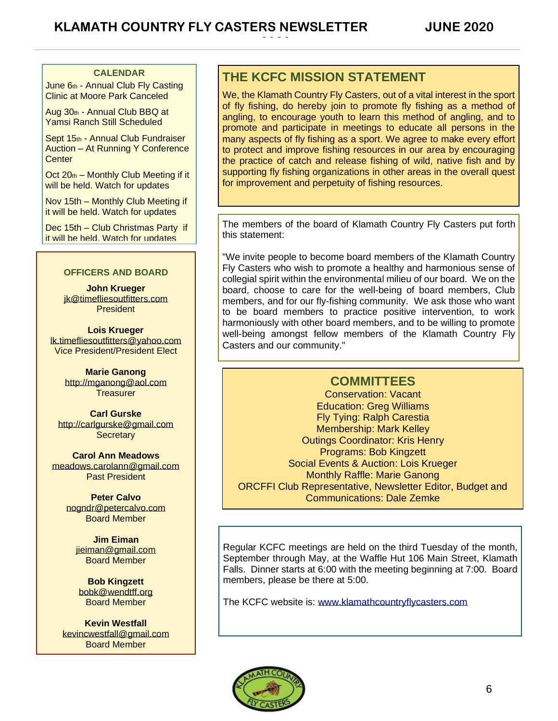#### **CALENDAR**

June 6th - Annual Club Fly Casting Clinic at Moore Park Canceled

Aug 30th - Annual Club BBQ at Yamsi Ranch Still Scheduled

Sept 15th - Annual Club Fundraiser Auction – At Running Y Conference **Center** 

Oct 20th – Monthly Club Meeting if it will be held. Watch for updates

Nov 15th – Monthly Club Meeting if it will be held. Watch for updates

Dec 15th – Club Christmas Party if it will be held. Watch for updates

#### **OFFICERS AND BOARD**

**John Krueger** [jk@timefliesoutfitters.com](http://jk@timefliesoutfitters.com/) President

**Lois Krueger** [lk.timefliesoutfitters@yahoo.com](mailto:lk.timefliesoutfitters@yahoo.com) Vice President/President Elect

> **Marie Ganong** [http://mganong@aol.com](http://mganong@aol.com/) **Treasurer**

**Carl Gurske** [http://carlgurske@gmail.com](http://carlgurske@gmail.com/) **Secretary** 

**Carol Ann Meadows** [meadows.carolann@gmail.com](http://meadows.carolann@gmail.com/) Past President

> **Peter Calvo** nogndr@petercalvo.com Board Member

**Jim Eiman** [jieiman@gmail.com](mailto:jieiman@gmail.com) Board Member

**Bob Kingzett** [bobk@wendtff.org](mailto:bobk@jeld-wen.com) Board Member

**Kevin Westfall** [kevincwestfall@gmail.com](mailto:kevincwestfall@gmail.com) Board Member

### **THE KCFC MISSION STATEMENT**

**2020**

We, the Klamath Country Fly Casters, out of a vital interest in the sport of fly fishing, do hereby join to promote fly fishing as a method of angling, to encourage youth to learn this method of angling, and to promote and participate in meetings to educate all persons in the many aspects of fly fishing as a sport. We agree to make every effort to protect and improve fishing resources in our area by encouraging the practice of catch and release fishing of wild, native fish and by supporting fly fishing organizations in other areas in the overall quest for improvement and perpetuity of fishing resources.

The members of the board of Klamath Country Fly Casters put forth this statement:

"We invite people to become board members of the Klamath Country Fly Casters who wish to promote a healthy and harmonious sense of collegial spirit within the environmental milieu of our board. We on the board, choose to care for the well-being of board members, Club members, and for our fly-fishing community. We ask those who want to be board members to practice positive intervention, to work harmoniously with other board members, and to be willing to promote well-being amongst fellow members of the Klamath Country Fly Casters and our community."

#### **COMMITTEES**

Conservation: Vacant Education: Greg Williams Fly Tying: Ralph Carestia Membership: Mark Kelley Outings Coordinator: Kris Henry Programs: Bob Kingzett Social Events & Auction: Lois Krueger Monthly Raffle: Marie Ganong ORCFFI Club Representative, Newsletter Editor, Budget and Communications: Dale Zemke

Regular KCFC meetings are held on the third Tuesday of the month, September through May, at the Waffle Hut 106 Main Street, Klamath Falls. Dinner starts at 6:00 with the meeting beginning at 7:00. Board members, please be there at 5:00.

The KCFC website is: [www.klamathcountryflycasters.com](http://www.klamathcountryflycasters.com/)

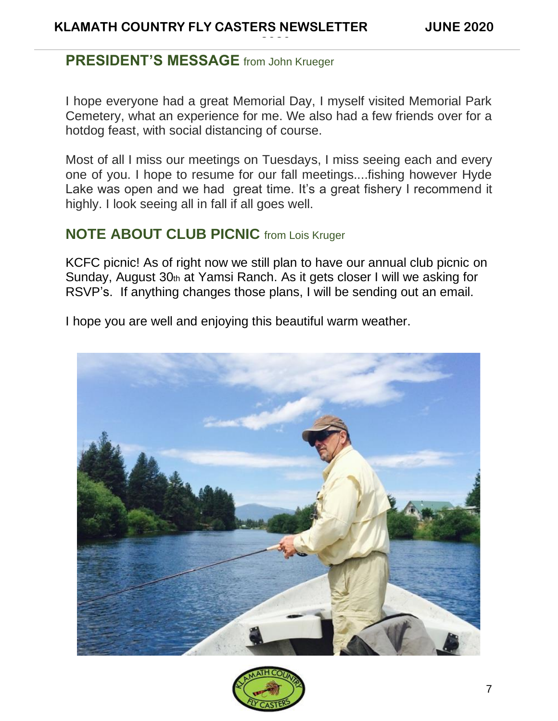## **PRESIDENT'S MESSAGE** from John Krueger

I hope everyone had a great Memorial Day, I myself visited Memorial Park Cemetery, what an experience for me. We also had a few friends over for a hotdog feast, with social distancing of course.

**2020**

Most of all I miss our meetings on Tuesdays, I miss seeing each and every one of you. I hope to resume for our fall meetings....fishing however Hyde Lake was open and we had great time. It's a great fishery I recommend it highly. I look seeing all in fall if all goes well.

## **NOTE ABOUT CLUB PICNIC** from Lois Kruger

KCFC picnic! As of right now we still plan to have our annual club picnic on Sunday, August 30th at Yamsi Ranch. As it gets closer I will we asking for RSVP's. If anything changes those plans, I will be sending out an email.

I hope you are well and enjoying this beautiful warm weather.



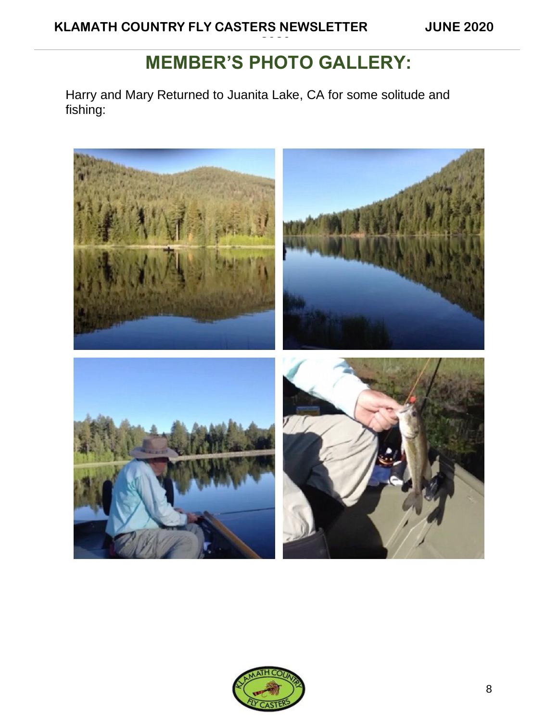# **MEMBER'S PHOTO GALLERY:**

**2020**

Harry and Mary Returned to Juanita Lake, CA for some solitude and fishing:



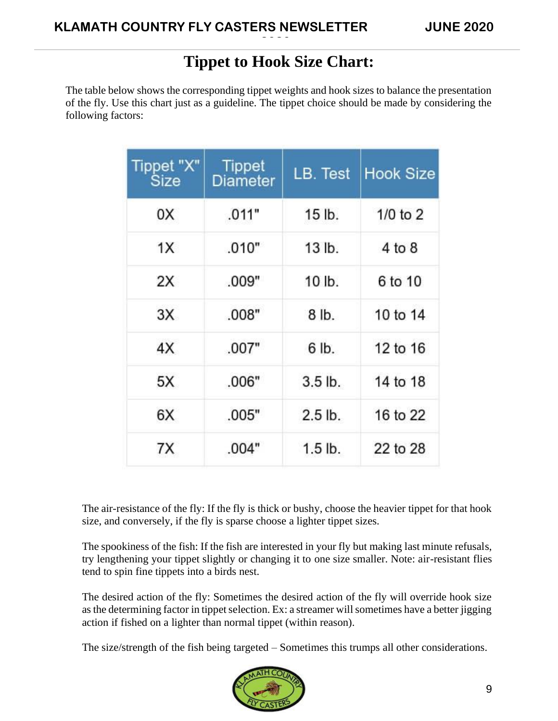# **Tippet to Hook Size Chart:**

**2020**

The table below shows the corresponding tippet weights and hook sizes to balance the presentation of the fly. Use this chart just as a guideline. The tippet choice should be made by considering the following factors:

| Tippet "X"<br>Size | <b>Tippet</b><br><b>Diameter</b> | LB. Test         | <b>Hook Size</b> |
|--------------------|----------------------------------|------------------|------------------|
| 0X                 | .011"                            | 15 lb.           | $1/0$ to $2$     |
| 1X                 | .010"                            | $13$ lb.         | 4 to 8           |
| 2X                 | .009"                            | 10 <sub>1b</sub> | 6 to 10          |
| 3X                 | .008"                            | $8$ lb.          | 10 to 14         |
| 4X                 | .007"                            | 6 lb.            | 12 to 16         |
| 5X                 | .006"                            | $3.5$ lb.        | 14 to 18         |
| 6X                 | .005"                            | $2.5$ lb.        | 16 to 22         |
| 7X                 | .004"                            | $1.5$ lb.        | 22 to 28         |

The air-resistance of the fly: If the fly is thick or bushy, choose the heavier tippet for that hook size, and conversely, if the fly is sparse choose a lighter tippet sizes.

The spookiness of the fish: If the fish are interested in your fly but making last minute refusals, try lengthening your tippet slightly or changing it to one size smaller. Note: air-resistant flies tend to spin fine tippets into a birds nest.

The desired action of the fly: Sometimes the desired action of the fly will override hook size as the determining factor in tippet selection. Ex: a streamer will sometimes have a better jigging action if fished on a lighter than normal tippet (within reason).

The size/strength of the fish being targeted – Sometimes this trumps all other considerations.

![](_page_8_Picture_9.jpeg)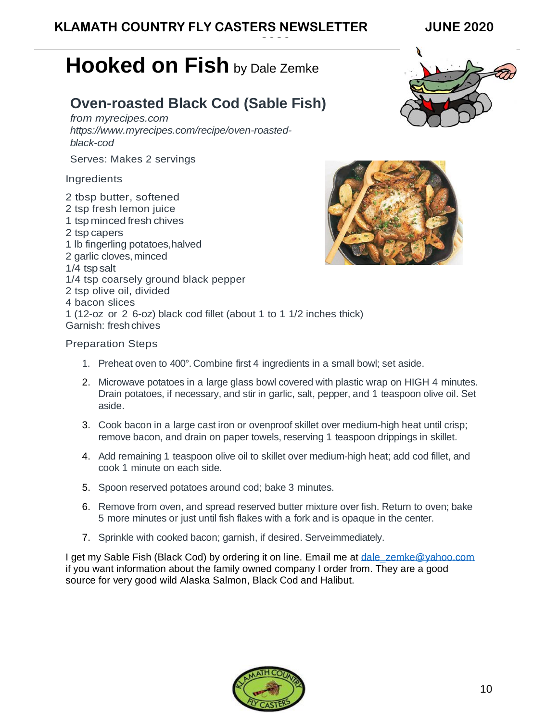## **KLAMATH COUNTRY FLY CASTERS NEWSLETTER JUNE 2020**

**2020**

# **Hooked on Fish** by Dale Zemke

## **Oven-roasted Black Cod (Sable Fish)**

*from myrecipes.com https:/[/www.myrecipes.com/recipe/oven-roasted](http://www.myrecipes.com/recipe/oven-roasted-black-cod)[black-cod](http://www.myrecipes.com/recipe/oven-roasted-black-cod)*

Serves: Makes 2 servings

#### Ingredients

2 tbsp butter, softened 2 tsp fresh lemon juice 1 tsp minced fresh chives 2 tsp capers 1 lb fingerling potatoes,halved 2 garlic cloves,minced 1/4 tsp salt 1/4 tsp coarsely ground black pepper 2 tsp olive oil, divided 4 bacon slices 1 (12-oz or 2 6-oz) black cod fillet (about 1 to 1 1/2 inches thick) Garnish: freshchives

![](_page_9_Picture_8.jpeg)

![](_page_9_Picture_9.jpeg)

#### Preparation Steps

- 1. Preheat oven to 400°. Combine first 4 ingredients in a small bowl; set aside.
- 2. Microwave potatoes in a large glass bowl covered with plastic wrap on HIGH 4 minutes. Drain potatoes, if necessary, and stir in garlic, salt, pepper, and 1 teaspoon olive oil. Set aside.
- 3. Cook bacon in a large cast iron or ovenproof skillet over medium-high heat until crisp; remove bacon, and drain on paper towels, reserving 1 teaspoon drippings in skillet.
- 4. Add remaining 1 teaspoon olive oil to skillet over medium-high heat; add cod fillet, and cook 1 minute on each side.
- 5. Spoon reserved potatoes around cod; bake 3 minutes.
- 6. Remove from oven, and spread reserved butter mixture over fish. Return to oven; bake 5 more minutes or just until fish flakes with a fork and is opaque in the center.
- 7. Sprinkle with cooked bacon; garnish, if desired. Serveimmediately.

I get my Sable Fish (Black Cod) by ordering it on line. Email me at dale zemke@yahoo.com if you want information about the family owned company I order from. They are a good source for very good wild Alaska Salmon, Black Cod and Halibut.

![](_page_9_Picture_19.jpeg)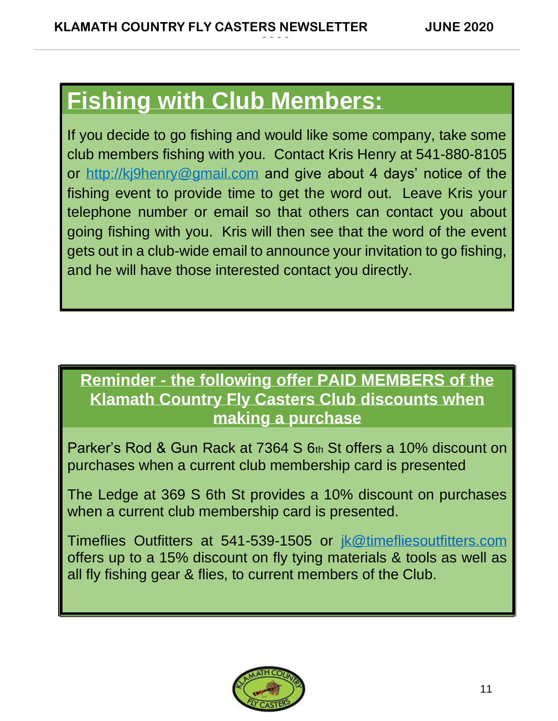# **Fishing with Club Members:**

If you decide to go fishing and would like some company, take some club members fishing with you. Contact Kris Henry at 541-880-8105 or [http://kj9henry@gmail.com](http://kj9henry@gmail.com/) and give about 4 days' notice of the fishing event to provide time to get the word out. Leave Kris your telephone number or email so that others can contact you about going fishing with you. Kris will then see that the word of the event gets out in a club-wide email to announce your invitation to go fishing, and he will have those interested contact you directly.

**2020**

# **Reminder - the following offer PAID MEMBERS of the Klamath Country Fly Casters Club discounts when making a purchase**

Parker's Rod & Gun Rack at 7364 S 6th St offers a 10% discount on purchases when a current club membership card is presented

The Ledge at 369 S 6th St provides a 10% discount on purchases when a current club membership card is presented.

Timeflies Outfitters at 541-539-1505 or [jk@timefliesoutfitters.com](mailto:jk@timefliesoutfitters.com) offers up to a 15% discount on fly tying materials & tools as well as all fly fishing gear & flies, to current members of the Club.

![](_page_10_Picture_8.jpeg)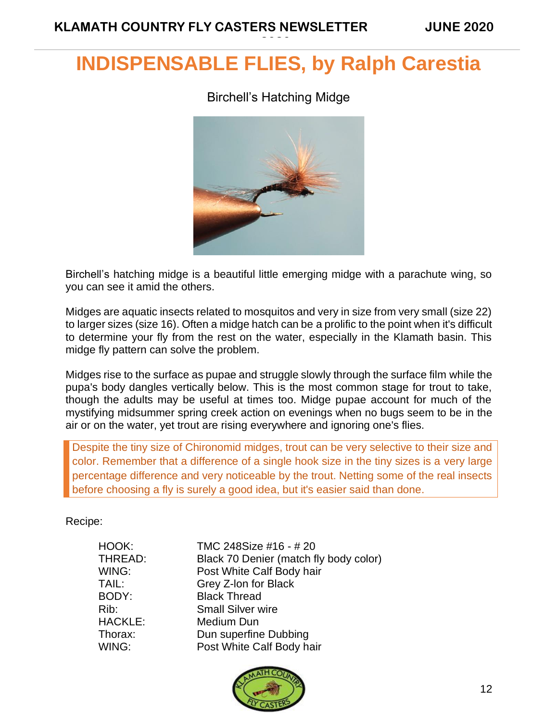# **INDISPENSABLE FLIES, by Ralph Carestia**

**2020**

### Birchell's Hatching Midge

![](_page_11_Picture_4.jpeg)

Birchell's hatching midge is a beautiful little emerging midge with a parachute wing, so you can see it amid the others.

Midges are aquatic insects related to mosquitos and very in size from very small (size 22) to larger sizes (size 16). Often a midge hatch can be a prolific to the point when it's difficult to determine your fly from the rest on the water, especially in the Klamath basin. This midge fly pattern can solve the problem.

Midges rise to the surface as pupae and struggle slowly through the surface film while the pupa's body dangles vertically below. This is the most common stage for trout to take, though the adults may be useful at times too. Midge pupae account for much of the mystifying midsummer spring creek action on evenings when no bugs seem to be in the air or on the water, yet trout are rising everywhere and ignoring one's flies.

Despite the tiny size of Chironomid midges, trout can be very selective to their size and color. Remember that a difference of a single hook size in the tiny sizes is a very large percentage difference and very noticeable by the trout. Netting some of the real insects before choosing a fly is surely a good idea, but it's easier said than done.

Recipe:

| HOOK:   | TMC 248Size #16 - #20                  |  |
|---------|----------------------------------------|--|
| THREAD: | Black 70 Denier (match fly body color) |  |
| WING:   | Post White Calf Body hair              |  |
| TAIL:   | Grey Z-Ion for Black                   |  |
| BODY:   | <b>Black Thread</b>                    |  |
| Rib:    | <b>Small Silver wire</b>               |  |
| HACKLE: | Medium Dun                             |  |
| Thorax: | Dun superfine Dubbing                  |  |
| WING:   | Post White Calf Body hair              |  |
|         |                                        |  |

![](_page_11_Picture_11.jpeg)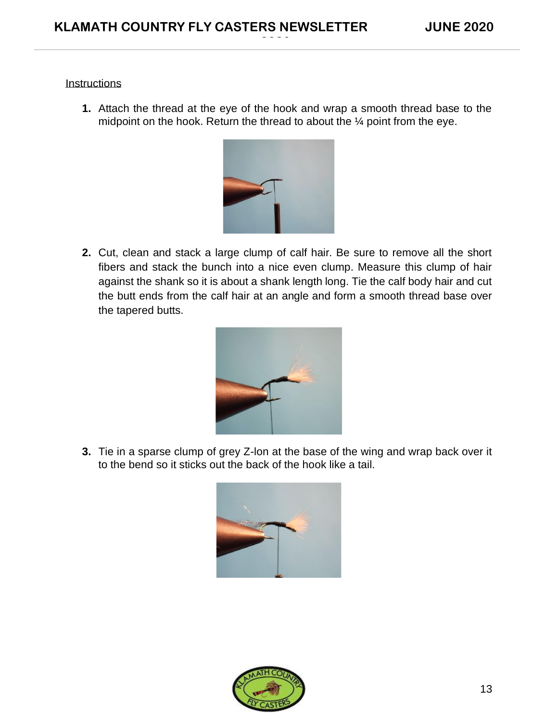#### **Instructions**

**1.** Attach the thread at the eye of the hook and wrap a smooth thread base to the midpoint on the hook. Return the thread to about the ¼ point from the eye.

**2020**

![](_page_12_Picture_4.jpeg)

**2.** Cut, clean and stack a large clump of calf hair. Be sure to remove all the short fibers and stack the bunch into a nice even clump. Measure this clump of hair against the shank so it is about a shank length long. Tie the calf body hair and cut the butt ends from the calf hair at an angle and form a smooth thread base over the tapered butts.

![](_page_12_Picture_6.jpeg)

**3.** Tie in a sparse clump of grey Z-lon at the base of the wing and wrap back over it to the bend so it sticks out the back of the hook like a tail.

![](_page_12_Picture_8.jpeg)

![](_page_12_Picture_9.jpeg)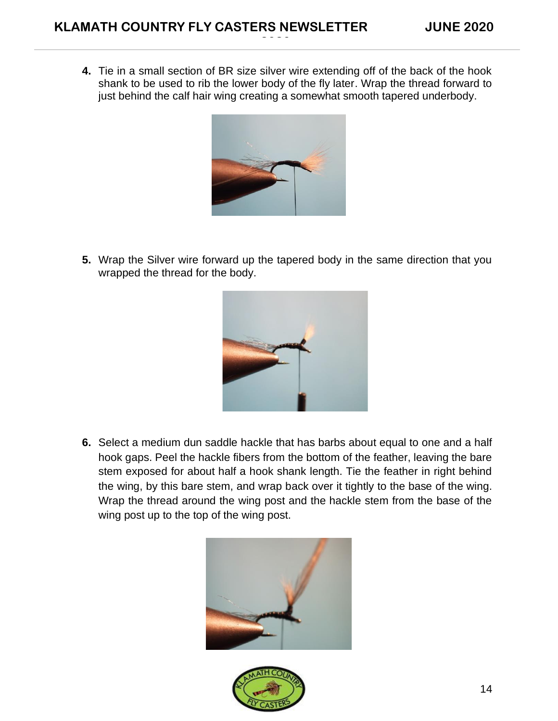**4.** Tie in a small section of BR size silver wire extending off of the back of the hook shank to be used to rib the lower body of the fly later. Wrap the thread forward to just behind the calf hair wing creating a somewhat smooth tapered underbody.

**2020**

![](_page_13_Picture_3.jpeg)

**5.** Wrap the Silver wire forward up the tapered body in the same direction that you wrapped the thread for the body.

![](_page_13_Picture_5.jpeg)

**6.** Select a medium dun saddle hackle that has barbs about equal to one and a half hook gaps. Peel the hackle fibers from the bottom of the feather, leaving the bare stem exposed for about half a hook shank length. Tie the feather in right behind the wing, by this bare stem, and wrap back over it tightly to the base of the wing. Wrap the thread around the wing post and the hackle stem from the base of the wing post up to the top of the wing post.

![](_page_13_Picture_7.jpeg)

![](_page_13_Picture_8.jpeg)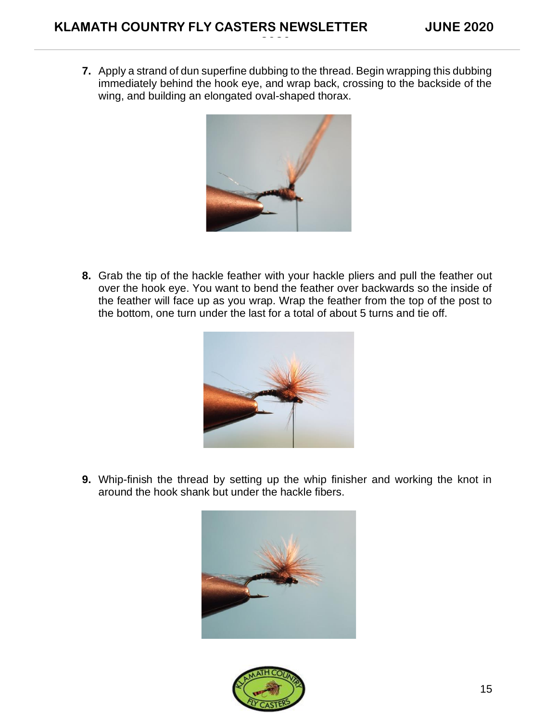**7.** Apply a strand of dun superfine dubbing to the thread. Begin wrapping this dubbing immediately behind the hook eye, and wrap back, crossing to the backside of the wing, and building an elongated oval-shaped thorax.

**2020**

![](_page_14_Picture_3.jpeg)

**8.** Grab the tip of the hackle feather with your hackle pliers and pull the feather out over the hook eye. You want to bend the feather over backwards so the inside of the feather will face up as you wrap. Wrap the feather from the top of the post to the bottom, one turn under the last for a total of about 5 turns and tie off.

![](_page_14_Picture_5.jpeg)

**9.** Whip-finish the thread by setting up the whip finisher and working the knot in around the hook shank but under the hackle fibers.

![](_page_14_Picture_7.jpeg)

![](_page_14_Picture_8.jpeg)